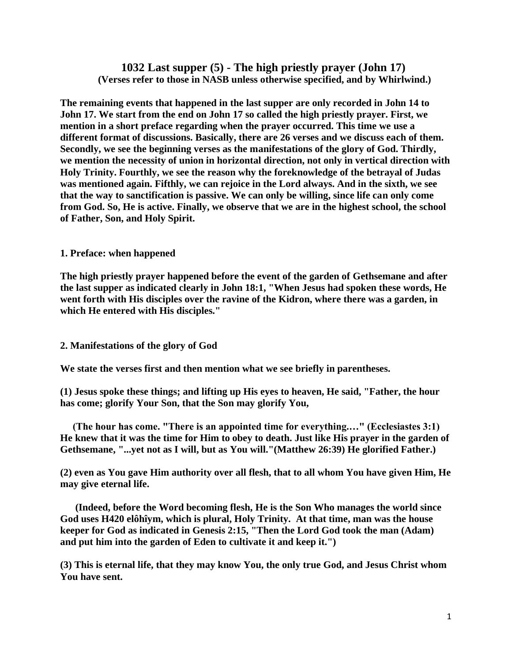# **1032 Last supper (5) - The high priestly prayer (John 17) (Verses refer to those in NASB unless otherwise specified, and by Whirlwind.)**

**The remaining events that happened in the last supper are only recorded in John 14 to John 17. We start from the end on John 17 so called the high priestly prayer. First, we mention in a short preface regarding when the prayer occurred. This time we use a different format of discussions. Basically, there are 26 verses and we discuss each of them. Secondly, we see the beginning verses as the manifestations of the glory of God. Thirdly, we mention the necessity of union in horizontal direction, not only in vertical direction with Holy Trinity. Fourthly, we see the reason why the foreknowledge of the betrayal of Judas was mentioned again. Fifthly, we can rejoice in the Lord always. And in the sixth, we see that the way to sanctification is passive. We can only be willing, since life can only come from God. So, He is active. Finally, we observe that we are in the highest school, the school of Father, Son, and Holy Spirit.**

## **1. Preface: when happened**

**The high priestly prayer happened before the event of the garden of Gethsemane and after the last supper as indicated clearly in John 18:1, "When Jesus had spoken these words, He went forth with His disciples over the ravine of the Kidron, where there was a garden, in which He entered with His disciples."**

## **2. Manifestations of the glory of God**

**We state the verses first and then mention what we see briefly in parentheses.**

**(1) Jesus spoke these things; and lifting up His eyes to heaven, He said, "Father, the hour has come; glorify Your Son, that the Son may glorify You,**

 **(The hour has come. "There is an appointed time for everything.…" (Ecclesiastes 3:1) He knew that it was the time for Him to obey to death. Just like His prayer in the garden of Gethsemane, "...yet not as I will, but as You will."(Matthew 26:39) He glorified Father.)**

**(2) even as You gave Him authority over all flesh, that to all whom You have given Him, He may give eternal life.**

 **(Indeed, before the Word becoming flesh, He is the Son Who manages the world since God uses H420 elôhîym, which is plural, Holy Trinity. At that time, man was the house keeper for God as indicated in Genesis 2:15, "Then the Lord God took the man (Adam) and put him into the garden of Eden to cultivate it and keep it.")**

**(3) This is eternal life, that they may know You, the only true God, and Jesus Christ whom You have sent.**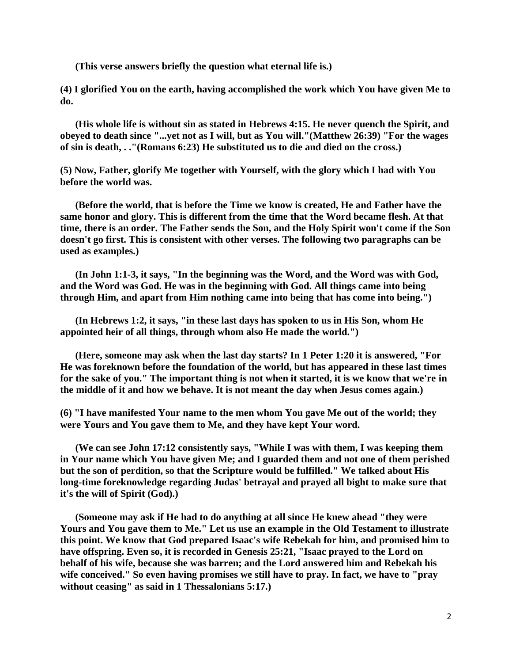**(This verse answers briefly the question what eternal life is.)**

**(4) I glorified You on the earth, having accomplished the work which You have given Me to do.**

 **(His whole life is without sin as stated in Hebrews 4:15. He never quench the Spirit, and obeyed to death since "...yet not as I will, but as You will."(Matthew 26:39) "For the wages of sin is death, . ."(Romans 6:23) He substituted us to die and died on the cross.)**

**(5) Now, Father, glorify Me together with Yourself, with the glory which I had with You before the world was.**

 **(Before the world, that is before the Time we know is created, He and Father have the same honor and glory. This is different from the time that the Word became flesh. At that time, there is an order. The Father sends the Son, and the Holy Spirit won't come if the Son doesn't go first. This is consistent with other verses. The following two paragraphs can be used as examples.)**

 **(In John 1:1-3, it says, "In the beginning was the Word, and the Word was with God, and the Word was God. He was in the beginning with God. All things came into being through Him, and apart from Him nothing came into being that has come into being.")**

 **(In Hebrews 1:2, it says, "in these last days has spoken to us in His Son, whom He appointed heir of all things, through whom also He made the world.")**

 **(Here, someone may ask when the last day starts? In 1 Peter 1:20 it is answered, "For He was foreknown before the foundation of the world, but has appeared in these last times for the sake of you." The important thing is not when it started, it is we know that we're in the middle of it and how we behave. It is not meant the day when Jesus comes again.)**

**(6) "I have manifested Your name to the men whom You gave Me out of the world; they were Yours and You gave them to Me, and they have kept Your word.**

 **(We can see John 17:12 consistently says, "While I was with them, I was keeping them in Your name which You have given Me; and I guarded them and not one of them perished but the son of perdition, so that the Scripture would be fulfilled." We talked about His long-time foreknowledge regarding Judas' betrayal and prayed all bight to make sure that it's the will of Spirit (God).)**

 **(Someone may ask if He had to do anything at all since He knew ahead "they were Yours and You gave them to Me." Let us use an example in the Old Testament to illustrate this point. We know that God prepared Isaac's wife Rebekah for him, and promised him to have offspring. Even so, it is recorded in Genesis 25:21, "Isaac prayed to the Lord on behalf of his wife, because she was barren; and the Lord answered him and Rebekah his wife conceived." So even having promises we still have to pray. In fact, we have to "pray without ceasing" as said in 1 Thessalonians 5:17.)**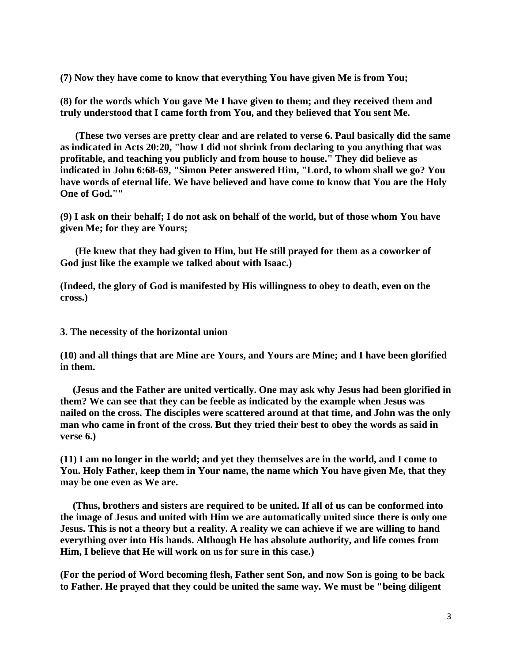**(7) Now they have come to know that everything You have given Me is from You;**

**(8) for the words which You gave Me I have given to them; and they received them and truly understood that I came forth from You, and they believed that You sent Me.**

 **(These two verses are pretty clear and are related to verse 6. Paul basically did the same as indicated in Acts 20:20, "how I did not shrink from declaring to you anything that was profitable, and teaching you publicly and from house to house." They did believe as indicated in John 6:68-69, "Simon Peter answered Him, "Lord, to whom shall we go? You have words of eternal life. We have believed and have come to know that You are the Holy One of God.""**

**(9) I ask on their behalf; I do not ask on behalf of the world, but of those whom You have given Me; for they are Yours;**

 **(He knew that they had given to Him, but He still prayed for them as a coworker of God just like the example we talked about with Isaac.)**

**(Indeed, the glory of God is manifested by His willingness to obey to death, even on the cross.)**

**3. The necessity of the horizontal union**

**(10) and all things that are Mine are Yours, and Yours are Mine; and I have been glorified in them.**

 **(Jesus and the Father are united vertically. One may ask why Jesus had been glorified in them? We can see that they can be feeble as indicated by the example when Jesus was nailed on the cross. The disciples were scattered around at that time, and John was the only man who came in front of the cross. But they tried their best to obey the words as said in verse 6.)**

**(11) I am no longer in the world; and yet they themselves are in the world, and I come to You. Holy Father, keep them in Your name, the name which You have given Me, that they may be one even as We are.**

 **(Thus, brothers and sisters are required to be united. If all of us can be conformed into the image of Jesus and united with Him we are automatically united since there is only one Jesus. This is not a theory but a reality. A reality we can achieve if we are willing to hand everything over into His hands. Although He has absolute authority, and life comes from Him, I believe that He will work on us for sure in this case.)**

**(For the period of Word becoming flesh, Father sent Son, and now Son is going to be back to Father. He prayed that they could be united the same way. We must be "being diligent**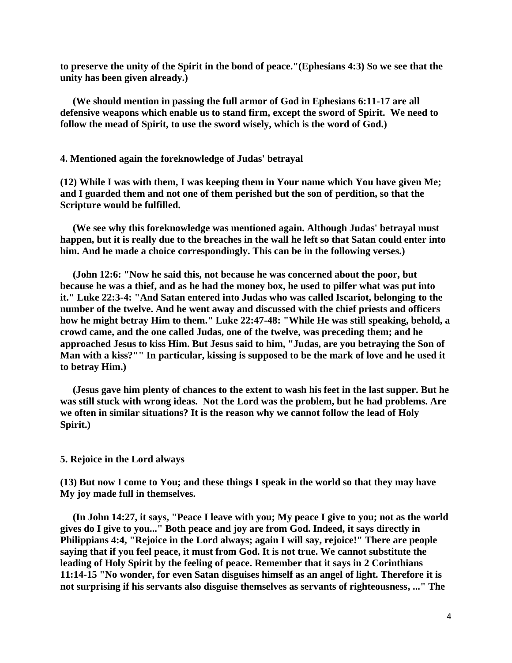**to preserve the unity of the Spirit in the bond of peace."(Ephesians 4:3) So we see that the unity has been given already.)**

 **(We should mention in passing the full armor of God in Ephesians 6:11-17 are all defensive weapons which enable us to stand firm, except the sword of Spirit. We need to follow the mead of Spirit, to use the sword wisely, which is the word of God.)**

### **4. Mentioned again the foreknowledge of Judas' betrayal**

**(12) While I was with them, I was keeping them in Your name which You have given Me; and I guarded them and not one of them perished but the son of perdition, so that the Scripture would be fulfilled.**

 **(We see why this foreknowledge was mentioned again. Although Judas' betrayal must happen, but it is really due to the breaches in the wall he left so that Satan could enter into him. And he made a choice correspondingly. This can be in the following verses.)**

 **(John 12:6: "Now he said this, not because he was concerned about the poor, but because he was a thief, and as he had the money box, he used to pilfer what was put into it." Luke 22:3-4: "And Satan entered into Judas who was called Iscariot, belonging to the number of the twelve. And he went away and discussed with the chief priests and officers how he might betray Him to them." Luke 22:47-48: "While He was still speaking, behold, a crowd came, and the one called Judas, one of the twelve, was preceding them; and he approached Jesus to kiss Him. But Jesus said to him, "Judas, are you betraying the Son of Man with a kiss?"" In particular, kissing is supposed to be the mark of love and he used it to betray Him.)**

 **(Jesus gave him plenty of chances to the extent to wash his feet in the last supper. But he was still stuck with wrong ideas. Not the Lord was the problem, but he had problems. Are we often in similar situations? It is the reason why we cannot follow the lead of Holy Spirit.)**

### **5. Rejoice in the Lord always**

**(13) But now I come to You; and these things I speak in the world so that they may have My joy made full in themselves.**

 **(In John 14:27, it says, "Peace I leave with you; My peace I give to you; not as the world gives do I give to you..." Both peace and joy are from God. Indeed, it says directly in Philippians 4:4, "Rejoice in the Lord always; again I will say, rejoice!" There are people saying that if you feel peace, it must from God. It is not true. We cannot substitute the leading of Holy Spirit by the feeling of peace. Remember that it says in 2 Corinthians 11:14-15 "No wonder, for even Satan disguises himself as an angel of light. Therefore it is not surprising if his servants also disguise themselves as servants of righteousness, ..." The**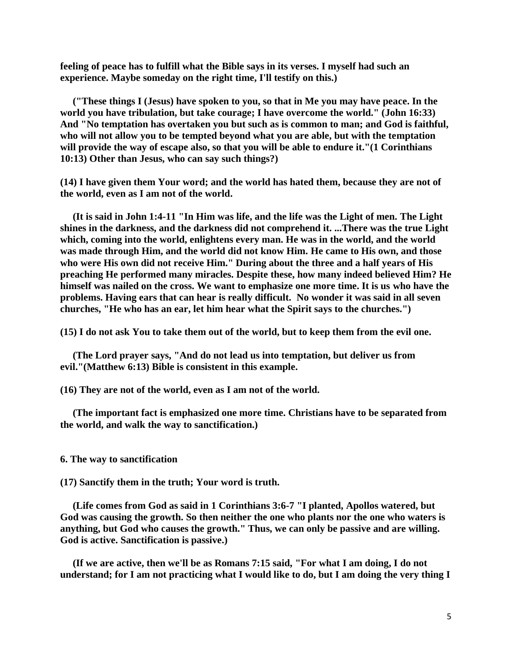**feeling of peace has to fulfill what the Bible says in its verses. I myself had such an experience. Maybe someday on the right time, I'll testify on this.)**

 **("These things I (Jesus) have spoken to you, so that in Me you may have peace. In the world you have tribulation, but take courage; I have overcome the world." (John 16:33) And "No temptation has overtaken you but such as is common to man; and God is faithful, who will not allow you to be tempted beyond what you are able, but with the temptation will provide the way of escape also, so that you will be able to endure it."(1 Corinthians 10:13) Other than Jesus, who can say such things?)**

**(14) I have given them Your word; and the world has hated them, because they are not of the world, even as I am not of the world.**

 **(It is said in John 1:4-11 "In Him was life, and the life was the Light of men. The Light shines in the darkness, and the darkness did not comprehend it. ...There was the true Light which, coming into the world, enlightens every man. He was in the world, and the world was made through Him, and the world did not know Him. He came to His own, and those who were His own did not receive Him." During about the three and a half years of His preaching He performed many miracles. Despite these, how many indeed believed Him? He himself was nailed on the cross. We want to emphasize one more time. It is us who have the problems. Having ears that can hear is really difficult. No wonder it was said in all seven churches, "He who has an ear, let him hear what the Spirit says to the churches.")**

**(15) I do not ask You to take them out of the world, but to keep them from the evil one.**

 **(The Lord prayer says, "And do not lead us into temptation, but deliver us from evil."(Matthew 6:13) Bible is consistent in this example.**

**(16) They are not of the world, even as I am not of the world.**

 **(The important fact is emphasized one more time. Christians have to be separated from the world, and walk the way to sanctification.)**

#### **6. The way to sanctification**

**(17) Sanctify them in the truth; Your word is truth.**

 **(Life comes from God as said in 1 Corinthians 3:6-7 "I planted, Apollos watered, but God was causing the growth. So then neither the one who plants nor the one who waters is anything, but God who causes the growth." Thus, we can only be passive and are willing. God is active. Sanctification is passive.)**

 **(If we are active, then we'll be as Romans 7:15 said, "For what I am doing, I do not understand; for I am not practicing what I would like to do, but I am doing the very thing I**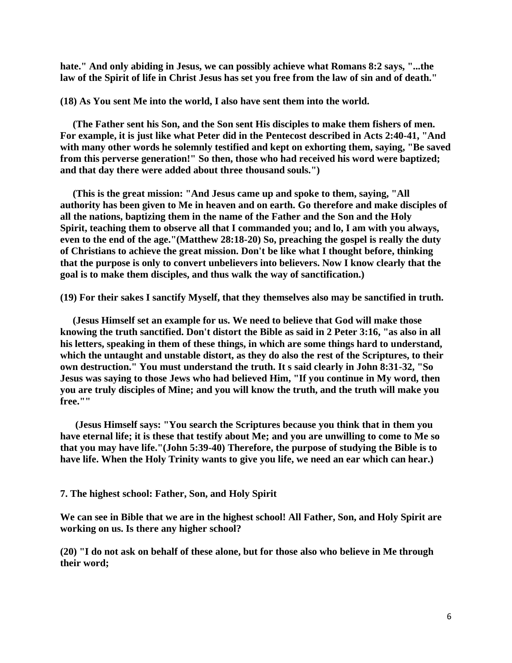**hate." And only abiding in Jesus, we can possibly achieve what Romans 8:2 says, "...the law of the Spirit of life in Christ Jesus has set you free from the law of sin and of death."**

**(18) As You sent Me into the world, I also have sent them into the world.**

 **(The Father sent his Son, and the Son sent His disciples to make them fishers of men. For example, it is just like what Peter did in the Pentecost described in Acts 2:40-41, "And with many other words he solemnly testified and kept on exhorting them, saying, "Be saved from this perverse generation!" So then, those who had received his word were baptized; and that day there were added about three thousand souls.")**

 **(This is the great mission: "And Jesus came up and spoke to them, saying, "All authority has been given to Me in heaven and on earth. Go therefore and make disciples of all the nations, baptizing them in the name of the Father and the Son and the Holy Spirit, teaching them to observe all that I commanded you; and lo, I am with you always, even to the end of the age."(Matthew 28:18-20) So, preaching the gospel is really the duty of Christians to achieve the great mission. Don't be like what I thought before, thinking that the purpose is only to convert unbelievers into believers. Now I know clearly that the goal is to make them disciples, and thus walk the way of sanctification.)**

**(19) For their sakes I sanctify Myself, that they themselves also may be sanctified in truth.**

 **(Jesus Himself set an example for us. We need to believe that God will make those knowing the truth sanctified. Don't distort the Bible as said in 2 Peter 3:16, "as also in all his letters, speaking in them of these things, in which are some things hard to understand, which the untaught and unstable distort, as they do also the rest of the Scriptures, to their own destruction." You must understand the truth. It s said clearly in John 8:31-32, "So Jesus was saying to those Jews who had believed Him, "If you continue in My word, then you are truly disciples of Mine; and you will know the truth, and the truth will make you free.""**

 **(Jesus Himself says: "You search the Scriptures because you think that in them you have eternal life; it is these that testify about Me; and you are unwilling to come to Me so that you may have life."(John 5:39-40) Therefore, the purpose of studying the Bible is to have life. When the Holy Trinity wants to give you life, we need an ear which can hear.)**

**7. The highest school: Father, Son, and Holy Spirit**

**We can see in Bible that we are in the highest school! All Father, Son, and Holy Spirit are working on us. Is there any higher school?**

**(20) "I do not ask on behalf of these alone, but for those also who believe in Me through their word;**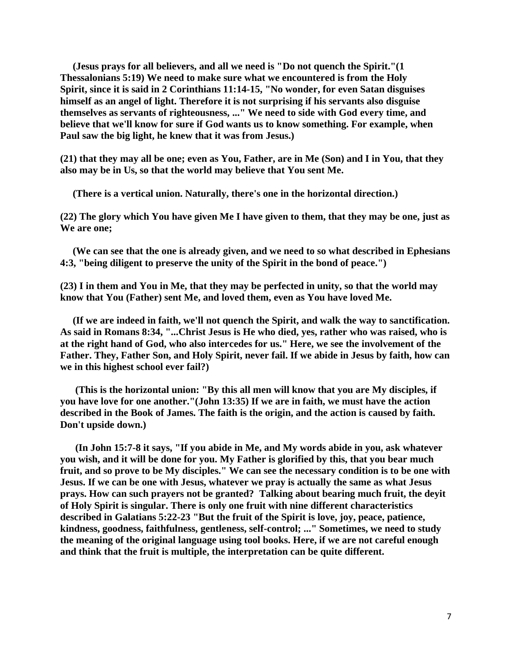**(Jesus prays for all believers, and all we need is "Do not quench the Spirit."(1 Thessalonians 5:19) We need to make sure what we encountered is from the Holy Spirit, since it is said in 2 Corinthians 11:14-15, "No wonder, for even Satan disguises himself as an angel of light. Therefore it is not surprising if his servants also disguise themselves as servants of righteousness, ..." We need to side with God every time, and believe that we'll know for sure if God wants us to know something. For example, when Paul saw the big light, he knew that it was from Jesus.)**

**(21) that they may all be one; even as You, Father, are in Me (Son) and I in You, that they also may be in Us, so that the world may believe that You sent Me.**

 **(There is a vertical union. Naturally, there's one in the horizontal direction.)**

**(22) The glory which You have given Me I have given to them, that they may be one, just as We are one;**

 **(We can see that the one is already given, and we need to so what described in Ephesians 4:3, "being diligent to preserve the unity of the Spirit in the bond of peace.")**

**(23) I in them and You in Me, that they may be perfected in unity, so that the world may know that You (Father) sent Me, and loved them, even as You have loved Me.**

 **(If we are indeed in faith, we'll not quench the Spirit, and walk the way to sanctification. As said in Romans 8:34, "...Christ Jesus is He who died, yes, rather who was raised, who is at the right hand of God, who also intercedes for us." Here, we see the involvement of the Father. They, Father Son, and Holy Spirit, never fail. If we abide in Jesus by faith, how can we in this highest school ever fail?)**

 **(This is the horizontal union: "By this all men will know that you are My disciples, if you have love for one another."(John 13:35) If we are in faith, we must have the action described in the Book of James. The faith is the origin, and the action is caused by faith. Don't upside down.)**

 **(In John 15:7-8 it says, "If you abide in Me, and My words abide in you, ask whatever you wish, and it will be done for you. My Father is glorified by this, that you bear much fruit, and so prove to be My disciples." We can see the necessary condition is to be one with Jesus. If we can be one with Jesus, whatever we pray is actually the same as what Jesus prays. How can such prayers not be granted? Talking about bearing much fruit, the deyit of Holy Spirit is singular. There is only one fruit with nine different characteristics described in Galatians 5:22-23 "But the fruit of the Spirit is love, joy, peace, patience, kindness, goodness, faithfulness, gentleness, self-control; ..." Sometimes, we need to study the meaning of the original language using tool books. Here, if we are not careful enough and think that the fruit is multiple, the interpretation can be quite different.**